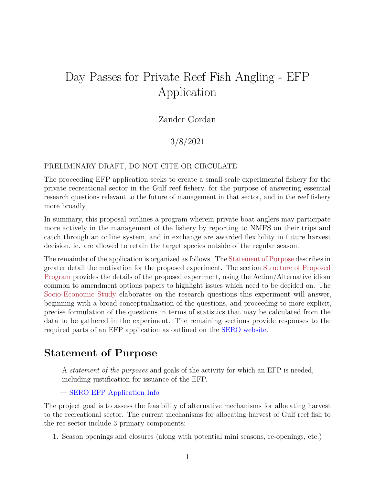# Day Passes for Private Reef Fish Angling - EFP Application

### Zander Gordan

### 3/8/2021

#### PRELIMINARY DRAFT, DO NOT CITE OR CIRCULATE

The proceeding EFP application seeks to create a small-scale experimental fishery for the private recreational sector in the Gulf reef fishery, for the purpose of answering essential research questions relevant to the future of management in that sector, and in the reef fishery more broadly.

In summary, this proposal outlines a program wherein private boat anglers may participate more actively in the management of the fishery by reporting to NMFS on their trips and catch through an online system, and in exchange are awarded flexibility in future harvest decision, ie. are allowed to retain the target species outside of the regular season.

The remainder of the application is organized as follows. The [Statement of Purpose](#page-0-0) describes in greater detail the motivation for the proposed experiment. The section [Structure of Proposed](#page-1-0) [Program](#page-1-0) provides the details of the proposed experiment, using the Action/Alternative idiom common to amendment options papers to highlight issues which need to be decided on. The [Socio-Economic Study](#page-7-0) elaborates on the research questions this experiment will answer, beginning with a broad conceptualization of the questions, and proceeding to more explicit, precise formulation of the questions in terms of statistics that may be calculated from the data to be gathered in the experiment. The remaining sections provide responses to the required parts of an EFP application as outlined on the [SERO website.](https://www.fisheries.noaa.gov/resource/document/southeast-region-exempted-fishing-permits-efp)

### <span id="page-0-0"></span>**Statement of Purpose**

A *statement of the purposes* and goals of the activity for which an EFP is needed, including justification for issuance of the EFP.

#### — [SERO EFP Application Info](https://www.fisheries.noaa.gov/resource/document/southeast-region-exempted-fishing-permits-efp)

The project goal is to assess the feasibility of alternative mechanisms for allocating harvest to the recreational sector. The current mechanisms for allocating harvest of Gulf reef fish to the rec sector include 3 primary components:

1. Season openings and closures (along with potential mini seasons, re-openings, etc.)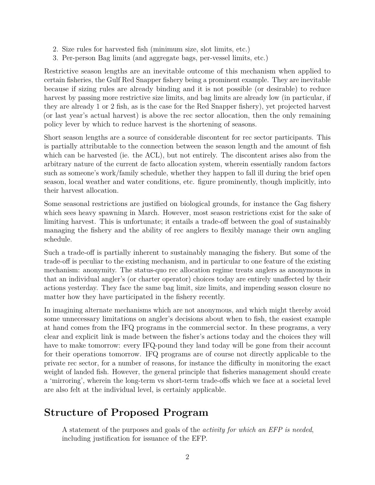- 2. Size rules for harvested fish (minimum size, slot limits, etc.)
- 3. Per-person Bag limits (and aggregate bags, per-vessel limits, etc.)

Restrictive season lengths are an inevitable outcome of this mechanism when applied to certain fisheries, the Gulf Red Snapper fishery being a prominent example. They are inevitable because if sizing rules are already binding and it is not possible (or desirable) to reduce harvest by passing more restrictive size limits, and bag limits are already low (in particular, if they are already 1 or 2 fish, as is the case for the Red Snapper fishery), yet projected harvest (or last year's actual harvest) is above the rec sector allocation, then the only remaining policy lever by which to reduce harvest is the shortening of seasons.

Short season lengths are a source of considerable discontent for rec sector participants. This is partially attributable to the connection between the season length and the amount of fish which can be harvested (ie. the ACL), but not entirely. The discontent arises also from the arbitrary nature of the current de facto allocation system, wherein essentially random factors such as someone's work/family schedule, whether they happen to fall ill during the brief open season, local weather and water conditions, etc. figure prominently, though implicitly, into their harvest allocation.

Some seasonal restrictions are justified on biological grounds, for instance the Gag fishery which sees heavy spawning in March. However, most season restrictions exist for the sake of limiting harvest. This is unfortunate; it entails a trade-off between the goal of sustainably managing the fishery and the ability of rec anglers to flexibly manage their own angling schedule.

Such a trade-off is partially inherent to sustainably managing the fishery. But some of the trade-off is peculiar to the existing mechanism, and in particular to one feature of the existing mechanism: anonymity. The status-quo rec allocation regime treats anglers as anonymous in that an individual angler's (or charter operator) choices today are entirely unaffected by their actions yesterday. They face the same bag limit, size limits, and impending season closure no matter how they have participated in the fishery recently.

In imagining alternate mechanisms which are not anonymous, and which might thereby avoid some unnecessary limitations on angler's decisions about when to fish, the easiest example at hand comes from the IFQ programs in the commercial sector. In these programs, a very clear and explicit link is made between the fisher's actions today and the choices they will have to make tomorrow: every IFQ-pound they land today will be gone from their account for their operations tomorrow. IFQ programs are of course not directly applicable to the private rec sector, for a number of reasons, for instance the difficulty in monitoring the exact weight of landed fish. However, the general principle that fisheries management should create a 'mirroring', wherein the long-term vs short-term trade-offs which we face at a societal level are also felt at the individual level, is certainly applicable.

## <span id="page-1-0"></span>**Structure of Proposed Program**

A statement of the purposes and goals of the *activity for which an EFP is needed*, including justification for issuance of the EFP.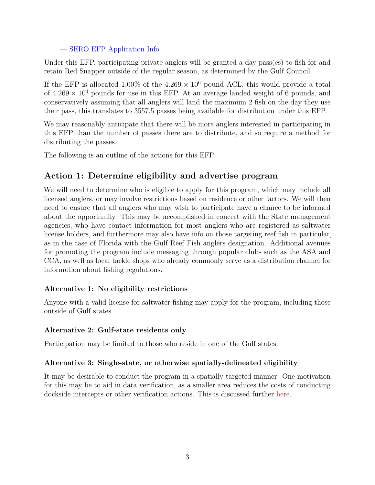#### — [SERO EFP Application Info](https://www.fisheries.noaa.gov/resource/document/southeast-region-exempted-fishing-permits-efp)

Under this EFP, participating private anglers will be granted a day pass(es) to fish for and retain Red Snapper outside of the regular season, as determined by the Gulf Council.

If the EFP is allocated  $1.00\%$  of the  $4.269 \times 10^6$  pound ACL, this would provide a total of  $4.269 \times 10^4$  pounds for use in this EFP. At an average landed weight of 6 pounds, and conservatively assuming that all anglers will land the maximum 2 fish on the day they use their pass, this translates to 3557.5 passes being available for distribution under this EFP.

We may reasonably anticipate that there will be more anglers interested in participating in this EFP than the number of passes there are to distribute, and so require a method for distributing the passes.

<span id="page-2-0"></span>The following is an outline of the actions for this EFP:

### **Action 1: Determine eligibility and advertise program**

We will need to determine who is eligible to apply for this program, which may include all licensed anglers, or may involve restrictions based on residence or other factors. We will then need to ensure that all anglers who may wish to participate have a chance to be informed about the opportunity. This may be accomplished in concert with the State management agencies, who have contact information for most anglers who are registered as saltwater license holders, and furthermore may also have info on those targeting reef fish in particular, as in the case of Florida with the Gulf Reef Fish anglers designation. Additional avenues for promoting the program include messaging through popular clubs such as the ASA and CCA, as well as local tackle shops who already commonly serve as a distribution channel for information about fishing regulations.

### **Alternative 1: No eligibility restrictions**

Anyone with a valid license for saltwater fishing may apply for the program, including those outside of Gulf states.

#### **Alternative 2: Gulf-state residents only**

Participation may be limited to those who reside in one of the Gulf states.

#### **Alternative 3: Single-state, or otherwise spatially-delineated eligibility**

It may be desirable to conduct the program in a spatially-targeted manner. One motivation for this may be to aid in data verification, as a smaller area reduces the costs of conducting dockside intercepts or other verification actions. This is discussed further [here.](#page-3-0)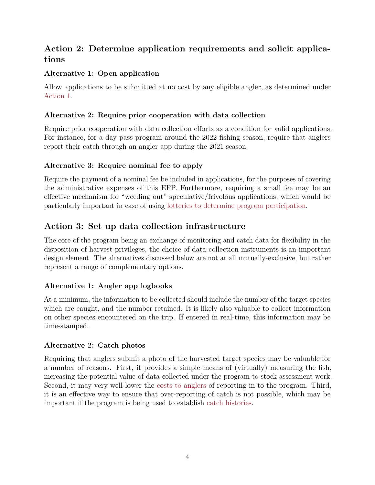### **Action 2: Determine application requirements and solicit applications**

### **Alternative 1: Open application**

Allow applications to be submitted at no cost by any eligible angler, as determined under [Action 1.](#page-2-0)

### **Alternative 2: Require prior cooperation with data collection**

Require prior cooperation with data collection efforts as a condition for valid applications. For instance, for a day pass program around the 2022 fishing season, require that anglers report their catch through an angler app during the 2021 season.

### **Alternative 3: Require nominal fee to apply**

Require the payment of a nominal fee be included in applications, for the purposes of covering the administrative expenses of this EFP. Furthermore, requiring a small fee may be an effective mechanism for "weeding out" speculative/frivolous applications, which would be particularly important in case of using [lotteries to determine program participation.](#page-4-0)

### **Action 3: Set up data collection infrastructure**

The core of the program being an exchange of monitoring and catch data for flexibility in the disposition of harvest privileges, the choice of data collection instruments is an important design element. The alternatives discussed below are not at all mutually-exclusive, but rather represent a range of complementary options.

### **Alternative 1: Angler app logbooks**

At a minimum, the information to be collected should include the number of the target species which are caught, and the number retained. It is likely also valuable to collect information on other species encountered on the trip. If entered in real-time, this information may be time-stamped.

### **Alternative 2: Catch photos**

<span id="page-3-0"></span>Requiring that anglers submit a photo of the harvested target species may be valuable for a number of reasons. First, it provides a simple means of (virtually) measuring the fish, increasing the potential value of data collected under the program to stock assessment work. Second, it may very well lower the [costs to anglers](#page-7-1) of reporting in to the program. Third, it is an effective way to ensure that over-reporting of catch is not possible, which may be important if the program is being used to establish [catch histories.](#page-6-0)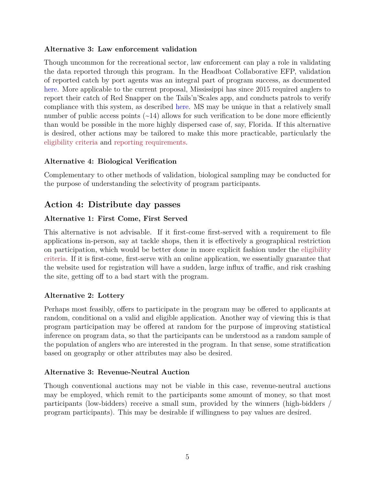#### **Alternative 3: Law enforcement validation**

Though uncommon for the recreational sector, law enforcement can play a role in validating the data reported through this program. In the Headboat Collaborative EFP, validation of reported catch by port agents was an integral part of program success, as documented [here.](https://www.fisheries.noaa.gov/webdam/download/89276053) More applicable to the current proposal, Mississippi has since 2015 required anglers to report their catch of Red Snapper on the Tails'n'Scales app, and conducts patrols to verify compliance with this system, as described [here.](https://gulfcouncil.org/wp-content/uploads/04.a.3-TnS-Joint-Council-WG_2020.pdf) MS may be unique in that a relatively small number of public access points  $(\sim 14)$  allows for such verification to be done more efficiently than would be possible in the more highly dispersed case of, say, Florida. If this alternative is desired, other actions may be tailored to make this more practicable, particularly the [eligibility criteria](#page-2-0) and [reporting requirements.](#page-5-0)

#### <span id="page-4-1"></span>**Alternative 4: Biological Verification**

Complementary to other methods of validation, biological sampling may be conducted for the purpose of understanding the selectivity of program participants.

### **Action 4: Distribute day passes**

#### **Alternative 1: First Come, First Served**

This alternative is not advisable. If it first-come first-served with a requirement to file applications in-person, say at tackle shops, then it is effectively a geographical restriction on participation, which would be better done in more explicit fashion under the [eligibility](#page-2-0) [criteria.](#page-2-0) If it is first-come, first-serve with an online application, we essentially guarantee that the website used for registration will have a sudden, large influx of traffic, and risk crashing the site, getting off to a bad start with the program.

### <span id="page-4-0"></span>**Alternative 2: Lottery**

Perhaps most feasibly, offers to participate in the program may be offered to applicants at random, conditional on a valid and eligible application. Another way of viewing this is that program participation may be offered at random for the purpose of improving statistical inference on program data, so that the participants can be understood as a random sample of the population of anglers who are interested in the program. In that sense, some stratification based on geography or other attributes may also be desired.

### <span id="page-4-2"></span>**Alternative 3: Revenue-Neutral Auction**

<span id="page-4-3"></span>Though conventional auctions may not be viable in this case, revenue-neutral auctions may be employed, which remit to the participants some amount of money, so that most participants (low-bidders) receive a small sum, provided by the winners (high-bidders / program participants). This may be desirable if willingness to pay values are desired.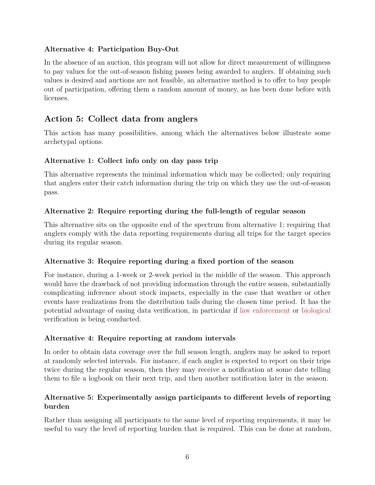### **Alternative 4: Participation Buy-Out**

In the absence of an auction, this program will not allow for direct measurement of willingness to pay values for the out-of-season fishing passes being awarded to anglers. If obtaining such values is desired and auctions are not feasible, an alternative method is to offer to buy people out of participation, offering them a random amount of money, as has been done before with licenses.

### <span id="page-5-0"></span>**Action 5: Collect data from anglers**

This action has many possibilities, among which the alternatives below illustrate some archetypal options.

### **Alternative 1: Collect info only on day pass trip**

This alternative represents the minimal information which may be collected; only requiring that anglers enter their catch information during the trip on which they use the out-of-season pass.

### <span id="page-5-1"></span>**Alternative 2: Require reporting during the full-length of regular season**

This alternative sits on the opposite end of the spectrum from alternative 1; requiring that anglers comply with the data reporting requirements during all trips for the target species during its regular season.

### **Alternative 3: Require reporting during a fixed portion of the season**

For instance, during a 1-week or 2-week period in the middle of the season. This approach would have the drawback of not providing information through the entire season, substantially complicating inference about stock impacts, especially in the case that weather or other events have realizations from the distribution tails during the chosen time period. It has the potential advantage of easing data verification, in particular if [law enforcement](#page-3-0) or [biological](#page-4-1) verification is being conducted.

### **Alternative 4: Require reporting at random intervals**

In order to obtain data coverage over the full season length, anglers may be asked to report at randomly selected intervals. For instance, if each angler is expected to report on their trips twice during the regular season, then they may receive a notification at some date telling them to file a logbook on their next trip, and then another notification later in the season.

### <span id="page-5-2"></span>**Alternative 5: Experimentally assign participants to different levels of reporting burden**

Rather than assigning all participants to the same level of reporting requirements, it may be useful to vary the level of reporting burden that is required. This can be done at random,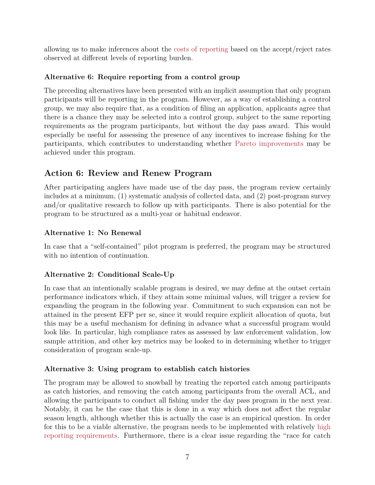allowing us to make inferences about the [costs of reporting](#page-7-1) based on the accept/reject rates observed at different levels of reporting burden.

### **Alternative 6: Require reporting from a control group**

The preceding alternatives have been presented with an implicit assumption that only program participants will be reporting in the program. However, as a way of establishing a control group, we may also require that, as a condition of filing an application, applicants agree that there is a chance they may be selected into a control group, subject to the same reporting requirements as the program participants, but without the day pass award. This would especially be useful for assessing the presence of any incentives to increase fishing for the participants, which contributes to understanding whether [Pareto improvements](#page-8-0) may be achieved under this program.

### <span id="page-6-1"></span>**Action 6: Review and Renew Program**

After participating anglers have made use of the day pass, the program review certainly includes at a minimum, (1) systematic analysis of collected data, and (2) post-program survey and/or qualitative research to follow up with participants. There is also potential for the program to be structured as a multi-year or habitual endeavor.

### **Alternative 1: No Renewal**

In case that a "self-contained" pilot program is preferred, the program may be structured with no intention of continuation.

### **Alternative 2: Conditional Scale-Up**

In case that an intentionally scalable program is desired, we may define at the outset certain performance indicators which, if they attain some minimal values, will trigger a review for expanding the program in the following year. Commitment to such expansion can not be attained in the present EFP per se, since it would require explicit allocation of quota, but this may be a useful mechanism for defining in advance what a successful program would look like. In particular, high compliance rates as assessed by law enforcement validation, low sample attrition, and other key metrics may be looked to in determining whether to trigger consideration of program scale-up.

### <span id="page-6-0"></span>**Alternative 3: Using program to establish catch histories**

The program may be allowed to snowball by treating the reported catch among participants as catch histories, and removing the catch among participants from the overall ACL, and allowing the participants to conduct all fishing under the day pass program in the next year. Notably, it can be the case that this is done in a way which does not affect the regular season length, although whether this is actually the case is an empirical question. In order for this to be a viable alternative, the program needs to be implemented with relatively [high](#page-5-1) [reporting requirements.](#page-5-1) Furthermore, there is a clear issue regarding the "race for catch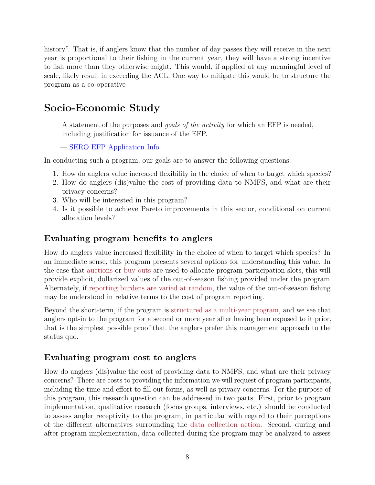history". That is, if anglers know that the number of day passes they will receive in the next year is proportional to their fishing in the current year, they will have a strong incentive to fish more than they otherwise might. This would, if applied at any meaningful level of scale, likely result in exceeding the ACL. One way to mitigate this would be to structure the program as a co-operative

# <span id="page-7-0"></span>**Socio-Economic Study**

A statement of the purposes and *goals of the activity* for which an EFP is needed, including justification for issuance of the EFP.

— [SERO EFP Application Info](https://www.fisheries.noaa.gov/resource/document/southeast-region-exempted-fishing-permits-efp)

In conducting such a program, our goals are to answer the following questions:

- 1. How do anglers value increased flexibility in the choice of when to target which species?
- 2. How do anglers (dis)value the cost of providing data to NMFS, and what are their privacy concerns?
- 3. Who will be interested in this program?
- 4. Is it possible to achieve Pareto improvements in this sector, conditional on current allocation levels?

### **Evaluating program benefits to anglers**

How do anglers value increased flexibility in the choice of when to target which species? In an immediate sense, this program presents several options for understanding this value. In the case that [auctions](#page-4-2) or [buy-outs](#page-4-3) are used to allocate program participation slots, this will provide explicit, dollarized values of the out-of-season fishing provided under the program. Alternately, if [reporting burdens are varied at random,](#page-5-2) the value of the out-of-season fishing may be understood in relative terms to the cost of program reporting.

Beyond the short-term, if the program is [structured as a multi-year program,](#page-6-1) and we see that anglers opt-in to the program for a second or more year after having been exposed to it prior, that is the simplest possible proof that the anglers prefer this management approach to the status quo.

### <span id="page-7-1"></span>**Evaluating program cost to anglers**

How do anglers (dis)value the cost of providing data to NMFS, and what are their privacy concerns? There are costs to providing the information we will request of program participants, including the time and effort to fill out forms, as well as privacy concerns. For the purpose of this program, this research question can be addressed in two parts. First, prior to program implementation, qualitative research (focus groups, interviews, etc.) should be conducted to assess angler receptivity to the program, in particular with regard to their perceptions of the different alternatives surrounding the [data collection action.](#page-5-0) Second, during and after program implementation, data collected during the program may be analyzed to assess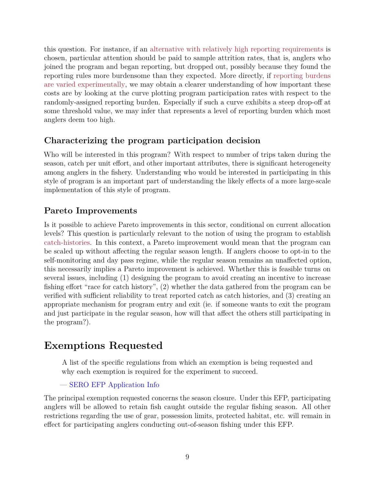this question. For instance, if an [alternative with relatively high reporting requirements](#page-5-1) is chosen, particular attention should be paid to sample attrition rates, that is, anglers who joined the program and began reporting, but dropped out, possibly because they found the reporting rules more burdensome than they expected. More directly, if [reporting burdens](#page-5-2) [are varied experimentally,](#page-5-2) we may obtain a clearer understanding of how important these costs are by looking at the curve plotting program participation rates with respect to the randomly-assigned reporting burden. Especially if such a curve exhibits a steep drop-off at some threshold value, we may infer that represents a level of reporting burden which most anglers deem too high.

### **Characterizing the program participation decision**

Who will be interested in this program? With respect to number of trips taken during the season, catch per unit effort, and other important attributes, there is significant heterogeneity among anglers in the fishery. Understanding who would be interested in participating in this style of program is an important part of understanding the likely effects of a more large-scale implementation of this style of program.

### <span id="page-8-0"></span>**Pareto Improvements**

Is it possible to achieve Pareto improvements in this sector, conditional on current allocation levels? This question is particularly relevant to the notion of using the program to establish [catch-histories.](#page-6-0) In this context, a Pareto improvement would mean that the program can be scaled up without affecting the regular season length. If anglers choose to opt-in to the self-monitoring and day pass regime, while the regular season remains an unaffected option, this necessarily implies a Pareto improvement is achieved. Whether this is feasible turns on several issues, including (1) designing the program to avoid creating an incentive to increase fishing effort "race for catch history", (2) whether the data gathered from the program can be verified with sufficient reliability to treat reported catch as catch histories, and (3) creating an appropriate mechanism for program entry and exit (ie. if someone wants to exit the program and just participate in the regular season, how will that affect the others still participating in the program?).

# **Exemptions Requested**

A list of the specific regulations from which an exemption is being requested and why each exemption is required for the experiment to succeed.

### — [SERO EFP Application Info](https://www.fisheries.noaa.gov/resource/document/southeast-region-exempted-fishing-permits-efp)

The principal exemption requested concerns the season closure. Under this EFP, participating anglers will be allowed to retain fish caught outside the regular fishing season. All other restrictions regarding the use of gear, possession limits, protected habitat, etc. will remain in effect for participating anglers conducting out-of-season fishing under this EFP.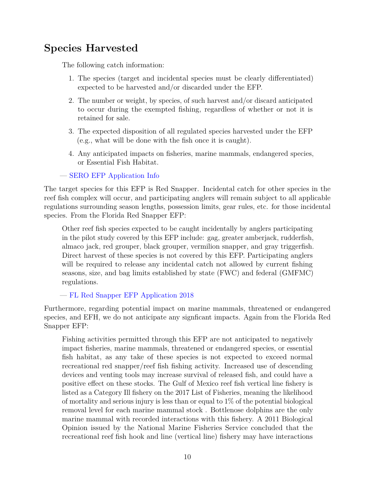# **Species Harvested**

The following catch information:

- 1. The species (target and incidental species must be clearly differentiated) expected to be harvested and/or discarded under the EFP.
- 2. The number or weight, by species, of such harvest and/or discard anticipated to occur during the exempted fishing, regardless of whether or not it is retained for sale.
- 3. The expected disposition of all regulated species harvested under the EFP (e.g., what will be done with the fish once it is caught).
- 4. Any anticipated impacts on fisheries, marine mammals, endangered species, or Essential Fish Habitat.

— [SERO EFP Application Info](https://www.fisheries.noaa.gov/resource/document/southeast-region-exempted-fishing-permits-efp)

The target species for this EFP is Red Snapper. Incidental catch for other species in the reef fish complex will occur, and participating anglers will remain subject to all applicable regulations surrounding season lengths, possession limits, gear rules, etc. for those incidental species. From the Florida Red Snapper EFP:

Other reef fish species expected to be caught incidentally by anglers participating in the pilot study covered by this EFP include: gag, greater amberjack, rudderfish, almaco jack, red grouper, black grouper, vermilion snapper, and gray triggerfish. Direct harvest of these species is not covered by this EFP. Participating anglers will be required to release any incidental catch not allowed by current fishing seasons, size, and bag limits established by state (FWC) and federal (GMFMC) regulations.

— [FL Red Snapper EFP Application 2018](https://media.fisheries.noaa.gov/dam-migration/gulf-efp-florida-lcamp-application-2018.pdf)

Furthermore, regarding potential impact on marine mammals, threatened or endangered species, and EFH, we do not anticipate any signficant impacts. Again from the Florida Red Snapper EFP:

Fishing activities permitted through this EFP are not anticipated to negatively impact fisheries, marine mammals, threatened or endangered species, or essential fish habitat, as any take of these species is not expected to exceed normal recreational red snapper/reef fish fishing activity. Increased use of descending devices and venting tools may increase survival of released fish, and could have a positive effect on these stocks. The Gulf of Mexico reef fish vertical line fishery is listed as a Category Ill fishery on the 2017 List of Fisheries, meaning the likelihood of mortality and serious injury is less than or equal to  $1\%$  of the potential biological removal level for each marine mammal stock . Bottlenose dolphins are the only marine mammal with recorded interactions with this fishery. A 2011 Biological Opinion issued by the National Marine Fisheries Service concluded that the recreational reef fish hook and line (vertical line) fishery may have interactions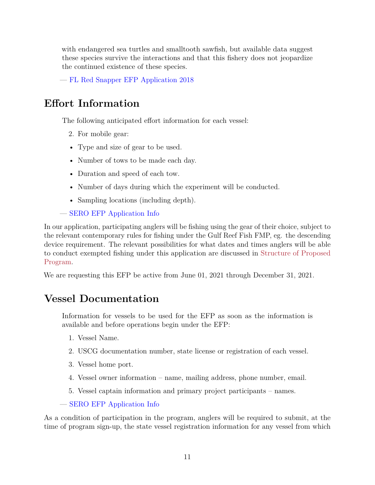with endangered sea turtles and smalltooth sawfish, but available data suggest these species survive the interactions and that this fishery does not jeopardize the continued existence of these species.

— [FL Red Snapper EFP Application 2018](https://media.fisheries.noaa.gov/dam-migration/gulf-efp-florida-lcamp-application-2018.pdf)

# <span id="page-10-0"></span>**Effort Information**

The following anticipated effort information for each vessel:

- 2. For mobile gear:
- Type and size of gear to be used.
- Number of tows to be made each day.
- Duration and speed of each tow.
- Number of days during which the experiment will be conducted.
- Sampling locations (including depth).

— [SERO EFP Application Info](https://www.fisheries.noaa.gov/resource/document/southeast-region-exempted-fishing-permits-efp)

In our application, participating anglers will be fishing using the gear of their choice, subject to the relevant contemporary rules for fishing under the Gulf Reef Fish FMP, eg. the descending device requirement. The relevant possibilities for what dates and times anglers will be able to conduct exempted fishing under this application are discussed in [Structure of Proposed](#page-1-0) [Program.](#page-1-0)

We are requesting this EFP be active from June 01, 2021 through December 31, 2021.

## **Vessel Documentation**

Information for vessels to be used for the EFP as soon as the information is available and before operations begin under the EFP:

- 1. Vessel Name.
- 2. USCG documentation number, state license or registration of each vessel.
- 3. Vessel home port.
- 4. Vessel owner information name, mailing address, phone number, email.
- 5. Vessel captain information and primary project participants names.

— [SERO EFP Application Info](https://www.fisheries.noaa.gov/resource/document/southeast-region-exempted-fishing-permits-efp)

As a condition of participation in the program, anglers will be required to submit, at the time of program sign-up, the state vessel registration information for any vessel from which